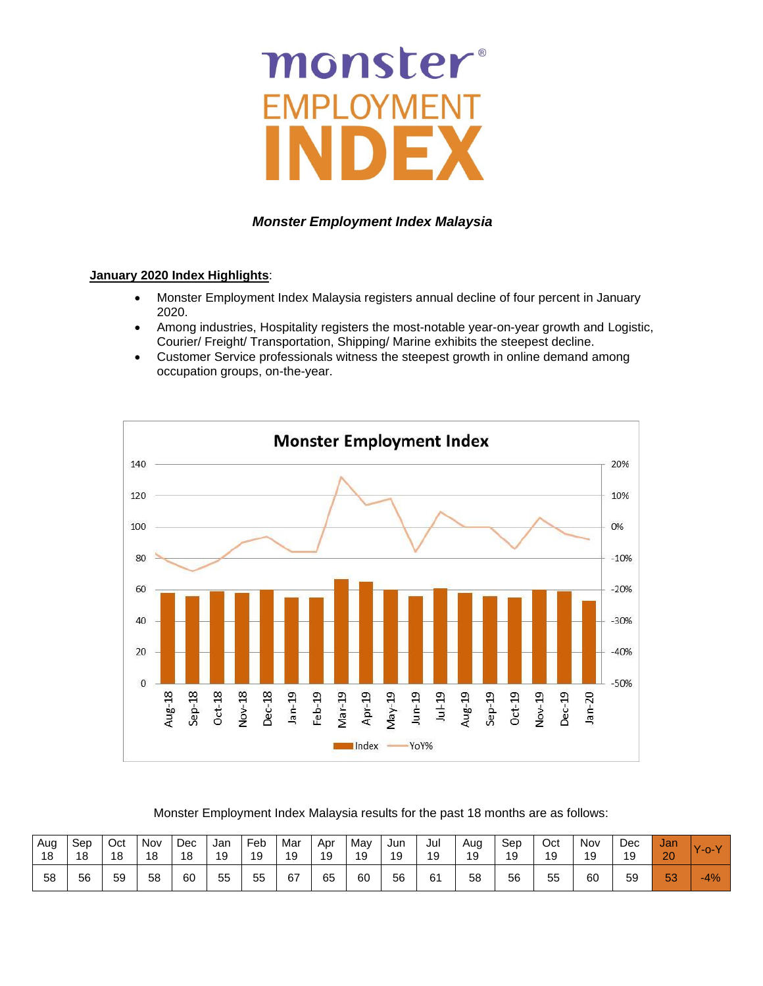# monster -MP YMENT

### *Monster Employment Index Malaysia*

#### **January 2020 Index Highlights**:

- Monster Employment Index Malaysia registers annual decline of four percent in January 2020.
- Among industries, Hospitality registers the most-notable year-on-year growth and Logistic, Courier/ Freight/ Transportation, Shipping/ Marine exhibits the steepest decline.
- Customer Service professionals witness the steepest growth in online demand among occupation groups, on-the-year.



#### Monster Employment Index Malaysia results for the past 18 months are as follows:

| Aug | Sep | Oct | Nov | Dec | Jan | Fe <sub>b</sub> | Mar | Apr | Mav | Jun | Jul | Aug | Sep | Oct | Nov | Dec | Jan | $\mathbf{v}$ |
|-----|-----|-----|-----|-----|-----|-----------------|-----|-----|-----|-----|-----|-----|-----|-----|-----|-----|-----|--------------|
| 18  | 18  | 18  | 18  | 18  | 19  | 19              | 19  | 19  | 19  | 19  | 19  | 19  | 19  | 19  | 19  | 19  | 20  | $-0-V$       |
| 58  | 56  | 59  | 58  | 60  | 55  | 55              | 67  | 65  | 60  | 56  | 61  | 58  | 56  | 55  | 60  | 59  | 53  | $-4%$        |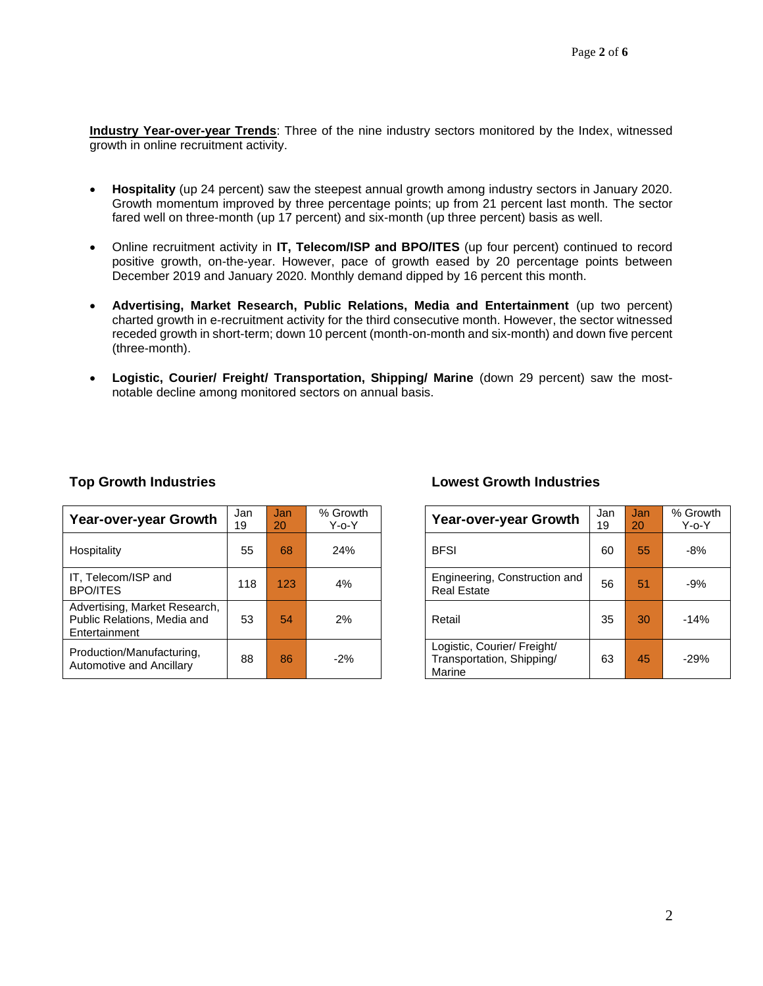**Industry Year-over-year Trends**: Three of the nine industry sectors monitored by the Index, witnessed growth in online recruitment activity.

- **Hospitality** (up 24 percent) saw the steepest annual growth among industry sectors in January 2020. Growth momentum improved by three percentage points; up from 21 percent last month. The sector fared well on three-month (up 17 percent) and six-month (up three percent) basis as well.
- Online recruitment activity in **IT, Telecom/ISP and BPO/ITES** (up four percent) continued to record positive growth, on-the-year. However, pace of growth eased by 20 percentage points between December 2019 and January 2020. Monthly demand dipped by 16 percent this month.
- **Advertising, Market Research, Public Relations, Media and Entertainment** (up two percent) charted growth in e-recruitment activity for the third consecutive month. However, the sector witnessed receded growth in short-term; down 10 percent (month-on-month and six-month) and down five percent (three-month).
- **Logistic, Courier/ Freight/ Transportation, Shipping/ Marine** (down 29 percent) saw the mostnotable decline among monitored sectors on annual basis.

| Year-over-year Growth                                                         | Jan<br>19 | Jan <sub>1</sub><br>20 | % Growth<br>$Y$ -o- $Y$ | Year-over-year Growth                                              | Jan<br>19 | Jan<br>20 | % Grov<br>Y-o-` |
|-------------------------------------------------------------------------------|-----------|------------------------|-------------------------|--------------------------------------------------------------------|-----------|-----------|-----------------|
| Hospitality                                                                   | 55        | 68                     | 24%                     | <b>BFSI</b>                                                        | 60        | 55        | $-8%$           |
| IT, Telecom/ISP and<br><b>BPO/ITES</b>                                        | 118       | 123                    | 4%                      | Engineering, Construction and<br><b>Real Estate</b>                | 56        | 51        | $-9%$           |
| Advertising, Market Research,<br>Public Relations, Media and<br>Entertainment | 53        | 54                     | 2%                      | Retail                                                             | 35        | 30        | $-14%$          |
| Production/Manufacturing,<br>Automotive and Ancillary                         | 88        | 86                     | $-2%$                   | Logistic, Courier/ Freight/<br>Transportation, Shipping/<br>Marine | 63        | 45        | $-29%$          |

### **Top Growth Industries Lowest Growth Industries**

| an<br>9 | Jan<br>20 | % Growth<br>Y-o-Y | Year-over-year Growth                                              | Jan<br>19 | Jan<br>20 | % Growth<br>$Y$ -o- $Y$ |
|---------|-----------|-------------------|--------------------------------------------------------------------|-----------|-----------|-------------------------|
| 55      | 68        | 24%               | <b>BFSI</b>                                                        | 60        | 55        | $-8%$                   |
| 18      | 123       | 4%                | Engineering, Construction and<br><b>Real Estate</b>                | 56        | 51        | $-9%$                   |
| 53      | 54        | 2%                | Retail                                                             | 35        | 30        | $-14%$                  |
| 88      | 86        | $-2%$             | Logistic, Courier/ Freight/<br>Transportation, Shipping/<br>Marine | 63        | 45        | $-29%$                  |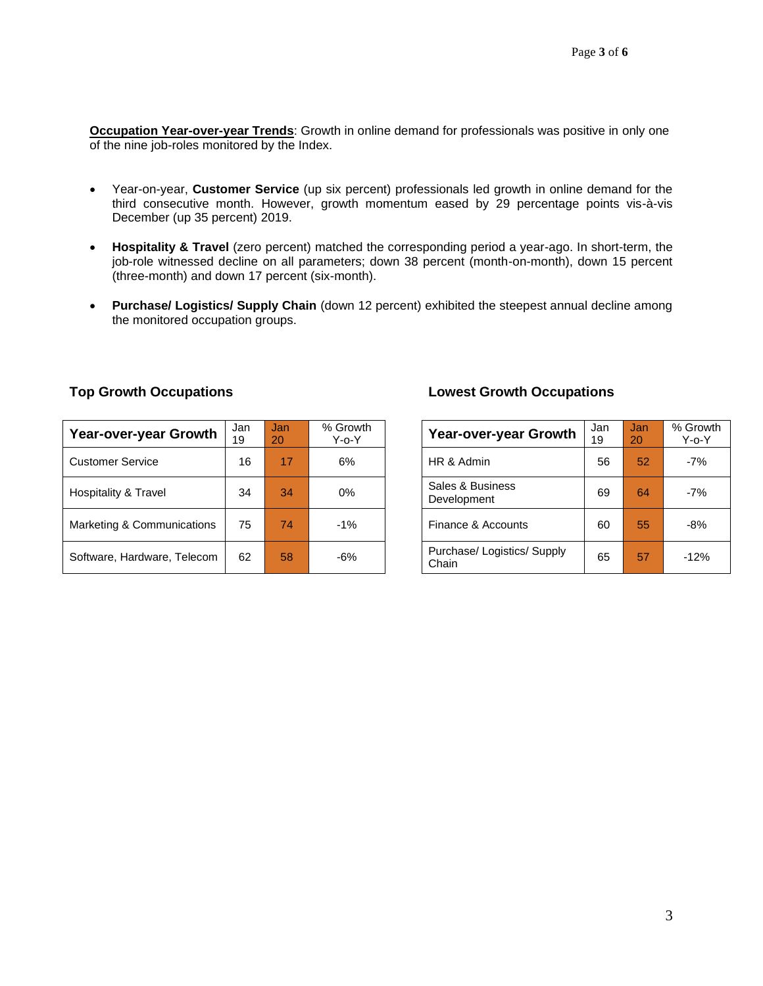**Occupation Year-over-year Trends**: Growth in online demand for professionals was positive in only one of the nine job-roles monitored by the Index.

- Year-on-year, **Customer Service** (up six percent) professionals led growth in online demand for the third consecutive month. However, growth momentum eased by 29 percentage points vis-à-vis December (up 35 percent) 2019.
- **Hospitality & Travel** (zero percent) matched the corresponding period a year-ago. In short-term, the job-role witnessed decline on all parameters; down 38 percent (month-on-month), down 15 percent (three-month) and down 17 percent (six-month).
- **Purchase/ Logistics/ Supply Chain** (down 12 percent) exhibited the steepest annual decline among the monitored occupation groups.

| Year-over-year Growth       | Jan<br>19 | Jan<br>20 | % Growth<br>$Y$ -o- $Y$ | Year-over-year Growth                | Jan<br>19 | Jan<br>20 | $%$ Grov<br>Y-o-` |
|-----------------------------|-----------|-----------|-------------------------|--------------------------------------|-----------|-----------|-------------------|
| <b>Customer Service</b>     | 16        | 17        | 6%                      | HR & Admin                           |           | 52        | $-7%$             |
| Hospitality & Travel        | 34        | 34        | $0\%$                   | Sales & Business<br>Development      |           | 64        | $-7%$             |
| Marketing & Communications  | 75        | 74        | $-1%$                   | Finance & Accounts                   | 60        | 55        | $-8%$             |
| Software, Hardware, Telecom | 62        | 58        | $-6%$                   | Purchase/ Logistics/ Supply<br>Chain | 65        | 57        | $-12%$            |

#### **Top Growth Occupations Lowest Growth Occupations**

| <b>Year-over-year Growth</b>         | Jan<br>19 | Jan<br>20 | % Growth<br>$Y$ -o- $Y$ |
|--------------------------------------|-----------|-----------|-------------------------|
| HR & Admin                           | 56        | 52        | $-7%$                   |
| Sales & Business<br>Development      | 69        | 64        | $-7%$                   |
| Finance & Accounts                   | 60        | 55        | -8%                     |
| Purchase/ Logistics/ Supply<br>Chain | 65        | 57        | $-12%$                  |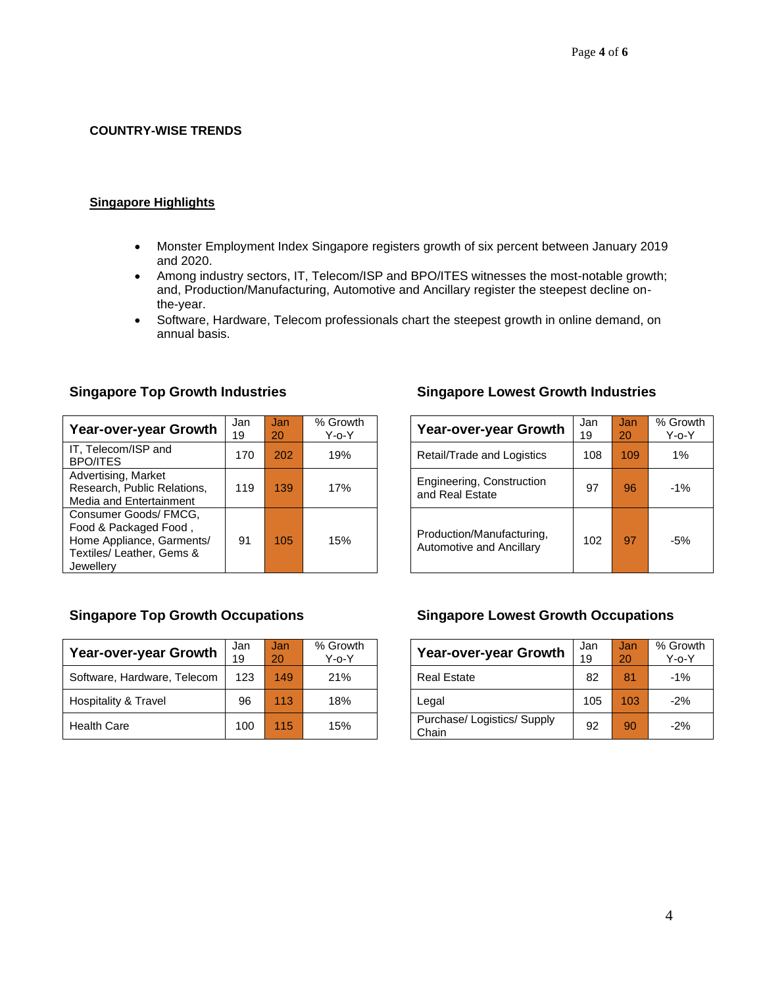### **COUNTRY-WISE TRENDS**

#### **Singapore Highlights**

- Monster Employment Index Singapore registers growth of six percent between January 2019 and 2020.
- Among industry sectors, IT, Telecom/ISP and BPO/ITES witnesses the most-notable growth; and, Production/Manufacturing, Automotive and Ancillary register the steepest decline onthe-year.
- Software, Hardware, Telecom professionals chart the steepest growth in online demand, on annual basis.

| Year-over-year Growth                                                                                                 | Jan<br>19 | Jan<br>20 | % Growth<br>Y-o-Y | <b>Year-over-year Growth</b>                          | Jan<br>19 | Jan<br>20 | % Gro<br>$Y$ -o- |
|-----------------------------------------------------------------------------------------------------------------------|-----------|-----------|-------------------|-------------------------------------------------------|-----------|-----------|------------------|
| IT, Telecom/ISP and<br><b>BPO/ITES</b>                                                                                | 170       | 202       | 19%               | Retail/Trade and Logistics                            | 108       | 109       | 1%               |
| Advertising, Market<br>Research, Public Relations,<br>Media and Entertainment                                         | 119       | 139       | 17%               | Engineering, Construction<br>and Real Estate          | 97        | 96        | $-1%$            |
| Consumer Goods/ FMCG,<br>Food & Packaged Food,<br>Home Appliance, Garments/<br>Textiles/ Leather, Gems &<br>Jewellery | 91        | 105       | 15%               | Production/Manufacturing,<br>Automotive and Ancillary | 102       | 97        | -5%              |

### **Singapore Top Growth Industries Singapore Lowest Growth Industries**

| Year-over-year Growth                                 | Jan<br>19 | Jan<br>20 | % Growth<br>Y-o-Y |
|-------------------------------------------------------|-----------|-----------|-------------------|
| Retail/Trade and Logistics                            | 108       | 109       | 1%                |
| Engineering, Construction<br>and Real Estate          | 97        | 96        | $-1\%$            |
| Production/Manufacturing,<br>Automotive and Ancillary | 102       | 97        | -5%               |

| Year-over-year Growth       | Jan<br>19 | Jan/<br>20 | % Growth<br>Y-o-Y | <b>Year-over-year Growth</b>       | Jan<br>19 | Jan<br>20 | $%$ Gro<br>Y-o-` |
|-----------------------------|-----------|------------|-------------------|------------------------------------|-----------|-----------|------------------|
| Software, Hardware, Telecom | 123       | 149        | 21%               | <b>Real Estate</b>                 | 82        | 81        | $-1%$            |
| Hospitality & Travel        | 96        | 113        | 18%               | Legal                              | 105       | 103       | $-2%$            |
| <b>Health Care</b>          | 100       | 115        | 15%               | Purchase/Logistics/Supply<br>Chain | 92        | 90        | $-2%$            |

#### **Singapore Top Growth Occupations Singapore Lowest Growth Occupations**

| <b>Year-over-year Growth</b>         | Jan<br>19 | Jan<br>20 | % Growth<br>$Y$ -o- $Y$ |
|--------------------------------------|-----------|-----------|-------------------------|
| <b>Real Estate</b>                   | 82        | 81        | $-1%$                   |
| Legal                                | 105       | 103       | $-2%$                   |
| Purchase/ Logistics/ Supply<br>Chain | 92        | 90        | $-2%$                   |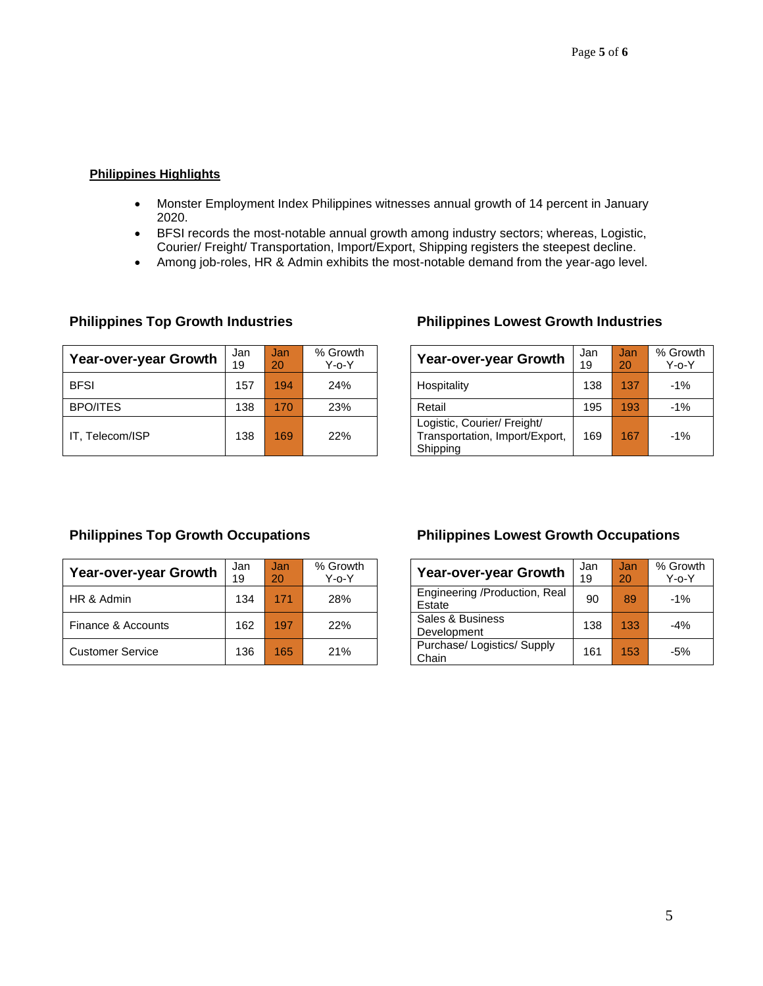### **Philippines Highlights**

- Monster Employment Index Philippines witnesses annual growth of 14 percent in January 2020.
- BFSI records the most-notable annual growth among industry sectors; whereas, Logistic, Courier/ Freight/ Transportation, Import/Export, Shipping registers the steepest decline.
- Among job-roles, HR & Admin exhibits the most-notable demand from the year-ago level.

| Year-over-year Growth | Jan<br>19 | Jan<br>20 | % Growth<br>Y-o-Y | <b>Year-over-year Growth</b>                                              | Jan<br>19 | Jan<br>20 | $%$ Grov<br>ר-^-Y |
|-----------------------|-----------|-----------|-------------------|---------------------------------------------------------------------------|-----------|-----------|-------------------|
| <b>BFSI</b>           | 157       | 194       | 24%               | Hospitality                                                               | 138       | 137       | $-1%$             |
| <b>BPO/ITES</b>       | 138       | 170       | 23%               | Retail                                                                    | 195       | 193       | $-1%$             |
| IT. Telecom/ISP       | 138       | 169       | 22%               | Logistic, Courier/ Freight/<br>Transportation, Import/Export,<br>Shipping | 169       | 167       | $-1%$             |

### **Philippines Top Growth Industries Philippines Lowest Growth Industries**

| Year-over-year Growth                                                     | Jan<br>19 | Jan<br>20 | % Growth<br>$Y$ -o- $Y$ |
|---------------------------------------------------------------------------|-----------|-----------|-------------------------|
| Hospitality                                                               | 138       | 137       | $-1%$                   |
| Retail                                                                    | 195       | 193       | $-1\%$                  |
| Logistic, Courier/ Freight/<br>Transportation, Import/Export,<br>Shipping | 169       | 167       | $-1\%$                  |

| <b>Year-over-year Growth</b> | % Growth<br>Jan<br>Jan<br>19<br>$Y$ -o- $Y$<br>20 |     |     | <b>Year-over-year Growth</b>            |
|------------------------------|---------------------------------------------------|-----|-----|-----------------------------------------|
| HR & Admin                   | 134                                               | 171 | 28% | Engineering /Production, Real<br>Estate |
| Finance & Accounts           | 162                                               | 197 | 22% | Sales & Business<br>Development         |
| <b>Customer Service</b>      | 136                                               | 165 | 21% | Purchase/ Logistics/ Supply<br>Chain    |

### **Philippines Top Growth Occupations Philippines Lowest Growth Occupations**

| Year-over-year Growth                   | Jan<br>19 | Jan<br>20 | % Growth<br>$Y$ -o- $Y$ |  |  |  |
|-----------------------------------------|-----------|-----------|-------------------------|--|--|--|
| Engineering /Production, Real<br>Estate | 90        | 89        | $-1%$                   |  |  |  |
| Sales & Business<br>Development         | 138       | 133       | $-4%$                   |  |  |  |
| Purchase/ Logistics/ Supply<br>Chain    | 161       | 153       | $-5%$                   |  |  |  |